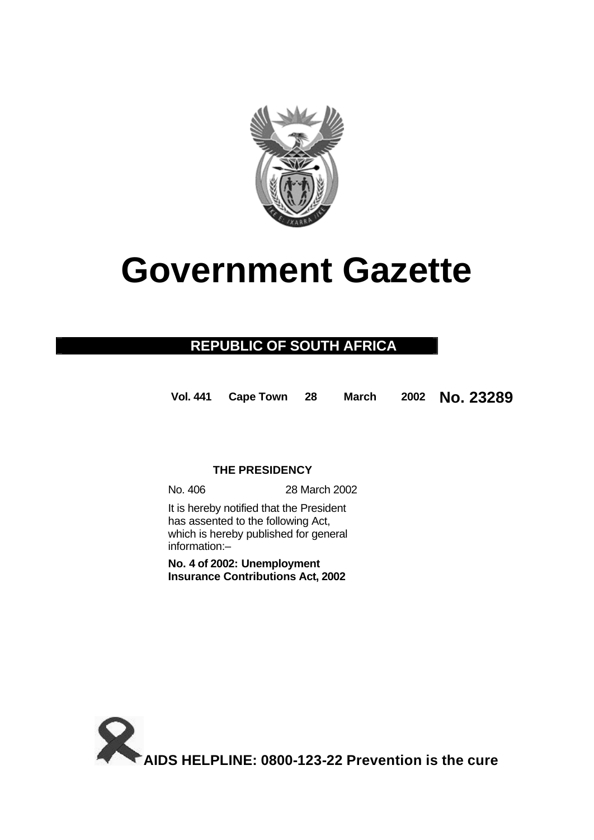

# **Government Gazette**

## **REPUBLIC OF SOUTH AFRICA**

**Vol. 441 Cape Town 28 March 2002 No. 23289**

### **THE PRESIDENCY**

No. 406 28 March 2002

It is hereby notified that the President has assented to the following Act, which is hereby published for general information:–

**No. 4 of 2002: Unemployment Insurance Contributions Act, 2002**

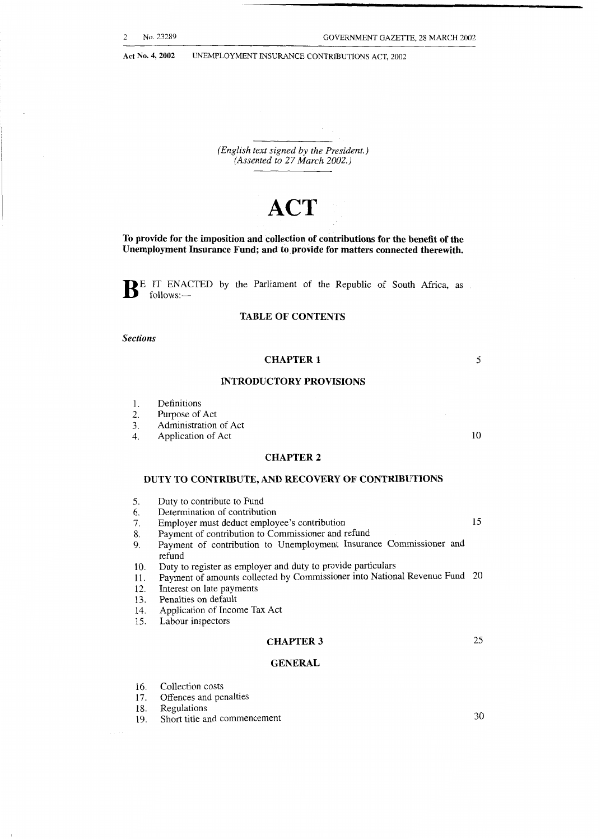*(English text signed by the President.) (Assented to 27 March 2002.)* 

## **ACT**

**To provide for the imposition and collection of contributions for the benefit of the Unemployment Insurance Fund; and to provide for matters connected therewith.** 

**B** E IT ENACTED by the Parliament of the Republic of South Africa, as follows:-

#### **TABLE OF CONTENTS**

*Sections* 

#### **CHAPTER 1**

#### **INTRODUCTORY PROVISIONS**

- 1. Definitions<br>2. Purpose of
- 2. Purpose of Act<br>3. Administration
- 3. Administration of Act<br>4. Application of Act
- Application of Act

#### **CHAPTER 2**

#### **DUTY TO CONTRIBUTE, AND RECOVERY OF CONTRIBUTIONS**

- *5.*  Duty to contribute to Fund
- 6. Determination of contribution
- *7.*  Employer must deduct employee's contribution 15
- 8. Payment of contribution to Commissioner and refund
- 9. Payment of contribution to Unemployment Insurance Commissioner **and**  refund
- 10. Duty to register as employer and duty to provide particulars
- 11. Payment of amounts collected by Commissioner into National Revenue Fund 20
- 12. Interest on late payments
- 13. Penalties on default
- 14. Application of Income Tax Act
- 15. Labour inspectors

#### **CHAPTER 3**

#### **GENERAL**

- 16. Collection costs
- 17. Offences and penalties
- 18. Regulations
- 19. Short title and commencement

*30* 

*25* 

10

*5*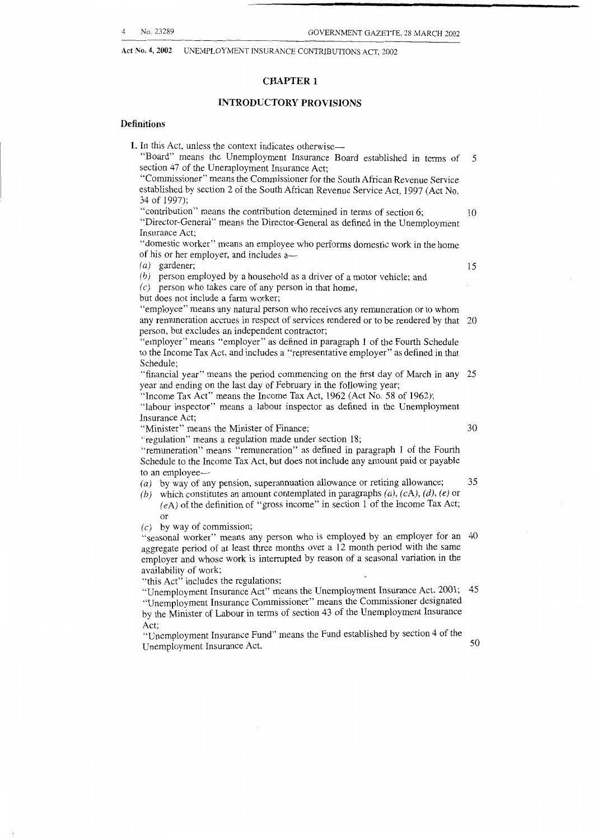#### **CHAPTER 1**

#### **INTRODUCTORY PROVISIONS**

#### **Definitions**

**1.** In this Act, unless the context indicates otherwise—

"Board" means the Unemployment Insurance Board established in terms of *5*  section 47 of the Unemployment Insurance Act;

"Commissioner" means the Commissioner for the South African Revenue Service established by section 2 of the South African Revenue Service Act, 1997 (Act No. 34 of 1997);

"contribution" means the contribution determined in terms of section 6; IO "Director-General" means the Director-General as defined in the Unemployment Insurance Act;

"domestic worker" means an employee who performs domestic work in the home of his or her employer, and includes  $a-$ <br>(a) gardener;

*(a)* gardener; 15

*(b)* person employed by a household as a driver of a motor vehicle; and *(c)* person who takes care of any person in that home,

but does not include a farm worker;

"employee" means any natural person who receives any remuneration or to whom any remuneration accrues in respect of services rendered or to be rendered by that 20 person, but excludes an independent contractor;

"employer" means "employer" as defined in paragraph 1 of the Fourth Schedule to the Income Tax Act, and includes a "representative employer" as defined in that Schedule;

"financial year" means the period commencing on the first day of March in any 25 year and ending on the last day of February in the following year;

"Income Tax Act" means the Income Tax Act, 1962 (Act No. 58 of 1962);

"labour inspector" means a labour inspector as defined in the Unemployment Insurance Act;

"Minister" means the Minister of Finance;

"regulation" means a regulation made under section 18;

"remuneration" means "remuneration" as defined in paragraph 1 of the Fourth Schedule to the Income Tax Act, but does not include any amount paid or payable to an employee-

*(a)* by way of any pension, superannuation allowance or retiring allowance; *35* 

*(b)* which constitutes an amount contemplated in paragraphs *(a),* (cA), *(d), (e)* or  $(eA)$  of the definition of "gross income" in section 1 of the Income Tax Act; or

*(c)* by way of commission;

"seasonal worker" means any person who is employed by an employer for an 40 aggregate period of at least three months over a 12 month period with the same employer and whose work is interrupted by reason of a seasonal variation in the availability of work;

"this Act" includes the regulations;

"Unemployment Insurance Act" means the Unemployment Insurance Act, 2001; 45 "Unemployment Insurance Commissioner" means the Commissioner designated by the Minister of Labour in terms of section 43 of the Unemployment Insurance Act;

"Unemployment Insurance Fund" means the Fund established by section 4 of the Unemployment Insurance Act. 50

30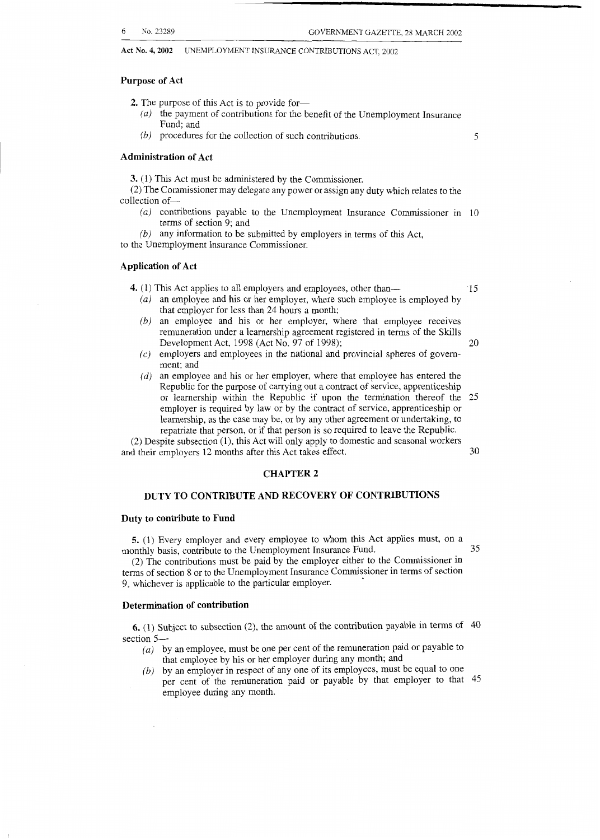#### **Purpose of Act**

**2.** The purpose of this Act is to provide for-

- *(a)* the payment of contributions for the benefit of the Unemployment Insurance Fund; and
- *(b)* procedures for the collection of such contributions.

5

#### **Administration of Act**

**3.** (1) This Act must be administered by the Commissioner.

(2) The Commissioner may delegate any power or assign any duty which relates to the collection of-

*(a)* contributions payable to the Unemployment Insurance Commissioner in 10 terms of section 9; and

*(b)* any information to be submitted by employers in terms of this Act,

to the Unemployment Insurance Commissioner.

#### **Application of Act**

**4.** (1) This Act applies to all employers and employees, other than— 15

- 
- *(a)* an employee and his or her employer, where such employee is employed by that employer for less than 24 hours a month;
- *(b)* an employee and his or her employer, where that employee receives remuneration under a learnership agreement registered in terms of the Skills Development Act, 1998 (Act No. 97 of 1998); 20
- *(c)* employers and employees in the national and provincial spheres of govemment; and
- *(d)* an employee and his or her employer, where that employee has entered the Republic for the purpose of carrying out a contract of service, apprenticeship or learnership within the Republic if upon the termination thereof the 25 employer is required by law or by the contract of service, apprenticeship or learnership, as the case may be, or by any other agreement or undertaking, to repatriate that person, or if that person is so required to leave the Republic.

*(2)* Despite subsection (l), this Act will only apply to domestic and seasonal workers and their employers 12 months after this Act takes effect.

#### **CHAPTER 2**

#### **DUTY TO CONTRIBUTE AND RECOVERY OF CONTRIBUTIONS**

#### **Duty to contribute to Fund**

**5.** (1) Every employer and every employee to whom this Act applies must, on a monthly basis, contribute to the Unemployment Insurance Fund. 35

(2) The contributions must be paid by the employer either to the Commissioner in terms of section 8 or to the Unemployment Insurance Commissioner in terms of section 9, whichever is applicable to the particular employer.

#### **Determination of contribution**

**6.** (1) Subject to subsection (2), the amount of the contribution payable in terms of 40 section *5-* 

- *(a)* by an employee, must be one per cent of the remuneration paid or payable to that employee by his or her employer during any month; and
- *(b)* by an employer in respect of any one of its employees, must be equal to one per cent of the remuneration paid or payable by that employer to that 45 employee during any month.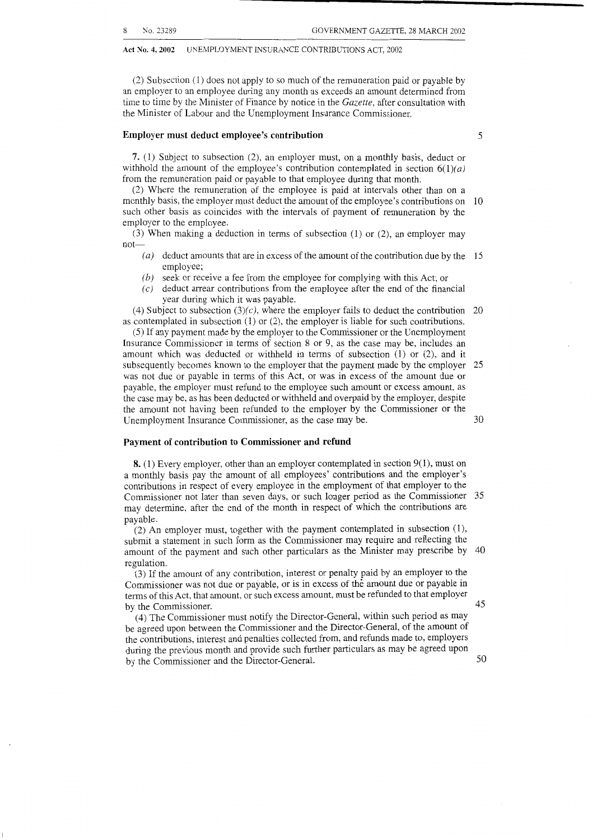employer to the employee.

#### Act No. 4, 2002 UNEMPLOYMENT INSURANCE CONTRIBUTIONS ACT, 2002

(2) Subsection (1) does not apply to so much of the remuneration paid or payable by an employer to an employee during any month as exceeds an amount determined from time to time by the Minister of Finance by notice in the *Gazette,* after consultation with the Minister of Labour and the Unemployment Insurance Commissioner.

#### **Employer must deduct employee's contribution** *5*

**7.** (1) Subject to subsection *(2),* an employer must, on a monthly basis, deduct or withhold the amount of the employee's contribution contemplated in section  $6(1)(a)$ 

from the remuneration paid or payable to that employee during that month. *(2)* Where the remuneration of the employee is paid at intervals other than on a monthly basis, the employer must deduct the amount of the employee's contributions on 10 such other basis as coincides with the intervals of payment of remuneration by the

(3) When making a deduction in terms of subsection (1) or *(2),* an employer may  $\text{not}$   $\overline{\phantom{a}}$   $(a)$ 

- deduct amounts that are in excess of the amount of the contribution due by the 15 employee;
- *(b)* seek or receive a fee from the employee for complying with this Act; or
- $(c)$  deduct arrear contributions from the employee after the end of the financial year during which it was payable.

(4) Subject to subsection  $(3)(c)$ , where the employer fails to deduct the contribution 20 as contemplated in subsection (1) or *(2),* the employer is liable for such contributions.

*(5)* If any payment made by the employer to the Commissioner or the Unemployment Insurance Commissioner in terms of section 8 or 9, as the case may be, includes an amount which was deducted or withheld in terms of subsection (1) or *(2),* and it subsequently becomes known to the employer that the payment made by the employer 25 was not due or payable in terms of this Act, or was in excess of the amount due or payable, the employer must refund to the employee such amount or excess amount, as the case may be, as has been deducted or withheld and overpaid by the employer, despite the amount not having been refunded to the employer by the Commissioner or the Unemployment Insurance Commissioner, as the case may be. 30

#### **Payment of contribution to Commissioner and refund**

**8.** (1) Every employer, other than an employer contemplated in section 9(1), must on a monthly basis pay the amount of all employees' contributions and the employer's contributions in respect of every employee in the employment of that employer to the Commissioner not later than seven days, or such longer period as the Commissioner 35 may determine, after the end of the month in respect of which the contributions are payable.

(2) An employer must, together with the payment contemplated in subsection (I), submit a statement in such form as the Commissioner may require and reflecting the amount of the payment and such other particulars as the Minister may prescribe by 40 regulation.

(3) If the amount of any contribution, interest or penalty paid by an employer to the Commissioner was not due or payable, or is in excess of the amount due or payable in terms of this Act, that amount, or such excess amount, must be refunded to that employer<br>by the Commissioner. by the Commissioner.  $\ddot{A}$ 

(4) The Commissioner must notify the Director-General, within such period as may be agreed upon between the Commissioner and the Director-General, of the amount of the contributions, interest and penalties collected from, and refunds made to, employers during the previous month and provide such further particulars as may be agreed upon by the Commissioner and the Director-General. 50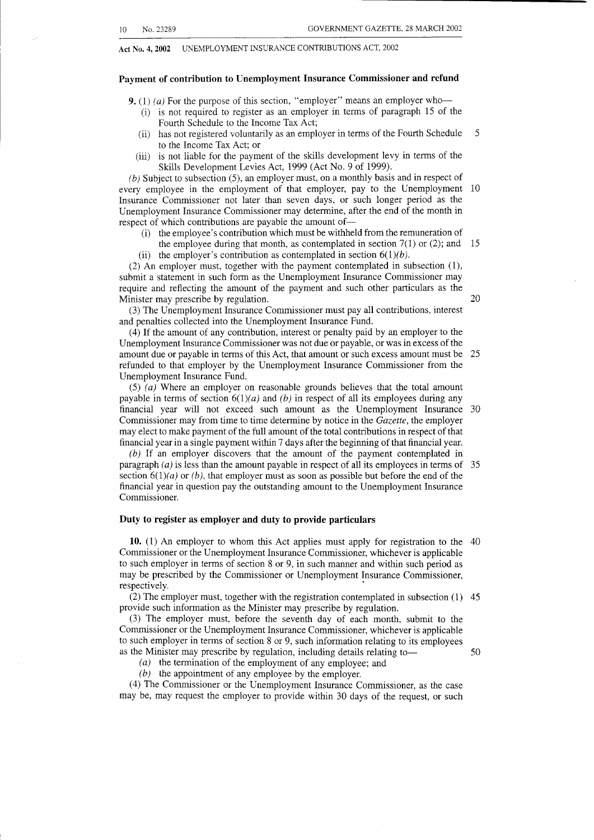#### **Payment of contribution to Unemployment Insurance Commissioner and refund**

**9.** (1) *(a)* For the purpose of this section, "employer" means an employer who-

- (i) is not required to register as an employer in terms of paragraph 15 of the Fourth Schedule to the Income Tax Act;
- (ii) has not registered voluntarily as an employer in terms of the Fourth Schedule *5*  to the Income Tax Act; or
- (iii) is not liable for the payment of the skills development levy in terms of the Skills Development Levies Act, 1999 (Act No. 9 of 1999).

*(b)* Subject to subsection *(5),* an employer must, on a monthly basis and in respect of every employee in the employment of that employer, pay to the Unemployment 10 Insurance Commissioner not later than seven days, or such longer period as the Unemployment Insurance Commissioner may determine, after the end of the month in respect of which contributions are payable the amount of-

- (i) the employee's contribution which must be withheld from the remuneration of
- the employee during that month, as contemplated in section  $7(1)$  or (2); and 15
- (ii) the employer's contribution as contemplated in section  $6(1)(b)$ .

(2) An employer must, together with the payment contemplated in subsection (I), submit a statement in such form as the Unemployment Insurance Commissioner may require and reflecting the amount of the payment and such other particulars as the Minister may prescribe by regulation. 20

(3) The Unemployment Insurance Commissioner must pay all contributions, interest and penalties collected into the Unemployment Insurance Fund.

(4) If the amount of any contribution, interest or penalty paid by an employer to the Unemployment Insurance Commissioner was not due or payable, or was in excess of the amount due or payable in terms of this Act, that amount or such excess amount must be 25 refunded to that employer by the Unemployment Insurance Commissioner from the Unemployment Insurance Fund.

(5) *(a)* Where an employer on reasonable grounds believes that the total amount payable in terms of section  $6(1)(a)$  and (b) in respect of all its employees during any financial year will not exceed such amount as the Unemployment Insurance 30 Commissioner may from time to time determine by notice in the *Gazette,* the employer may elect to make payment of the full amount of the total contributions in respect of that financial year in a single payment within 7 days after the beginning of that financial year.

(6) If an employer discovers that the amount of the payment contemplated in paragraph *(a)* is less than the amount payable in respect of all its employees in terms of *35*  section  $6(1)(a)$  or *(b)*, that employer must as soon as possible but before the end of the financial year in question pay the outstanding amount to the Unemployment Insurance Commissioner.

#### **Duty to register as employer and duty to provide particulars**

**10.** (1) An employer to whom this Act applies must apply for registration to the 40 Commissioner or the Unemployment Insurance Commissioner, whichever is applicable to such employer in terms of section 8 or 9, in such manner and within such period as may be prescribed by the Commissioner or Unemployment Insurance Commissioner, respectively.

(2) The employer must, together with the registration contemplated in subsection (1) 45 provide such information as the Minister may prescribe by regulation.

(3) The employer must, before the seventh day of each month, submit to the Commissioner or the Unemployment Insurance Commissioner, whichever is applicable to such employer in terms of section 8 or 9, such information relating to its employees as the Minister may prescribe by regulation, including details relating to  $\sim$  50

*(a)* the termination of the employment of any employee; and *(b)* the appointment of any employee by the employer.

(4) The Commissioner or the Unemployment Insurance Commissioner, as the case may be, may request the employer to provide within 30 days of the request, or such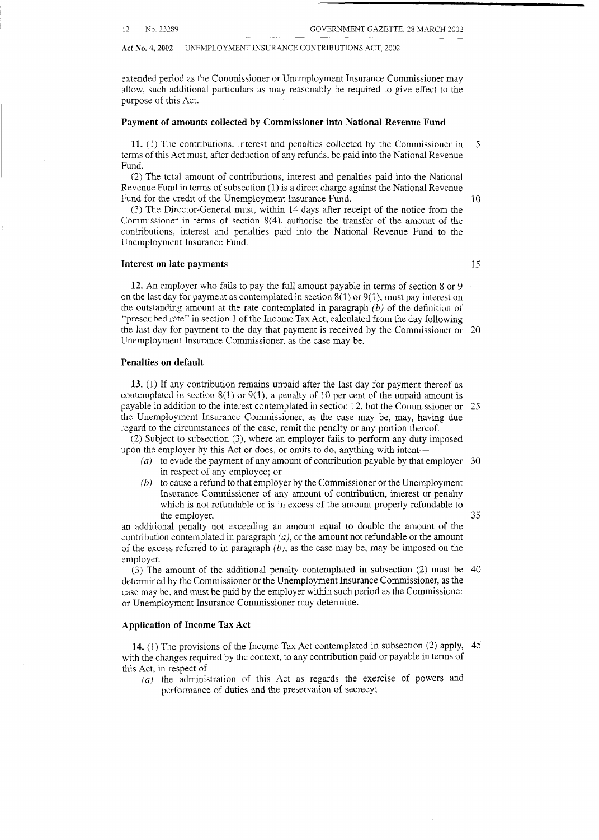extended period as the Commissioner or Unemployment Insurance Commissioner may allow, such additional particulars as may reasonably be required to give effect to the purpose of this Act.

#### **Payment of amounts collected by Commissioner into National Revenue Fund**

**11.** (1) The contributions, interest and penalties collected by the Commissioner in *5*  terms of this Act must, after deduction of any refunds, be paid into the National Revenue Fund.

(2) The total amount of contributions, interest and penalties paid into the National Revenue Fund in terms of subsection (1) is a direct charge against the National Revenue Fund for the credit of the Unemployment Insurance Fund. 10

(3) The Director-General must, within 14 days after receipt of the notice from the Commissioner in terms of section 8(4), authorise the transfer of the amount of the contributions, interest and penalties paid into the National Revenue Fund to the Unemployment Insurance Fund.

#### **Interest on late payments 15**

**12.** An employer who fails to pay the full amount payable in terms of section 8 or 9 on the last day for payment as contemplated in section  $8(1)$  or  $9(1)$ , must pay interest on the outstanding amount at the rate contemplated in paragraph *(b)* of the definition of "prescribed rate" in section 1 of the Income Tax Act, calculated from the day following the last day for payment to the day that payment is received by the Commissioner or 20 Unemployment Insurance Commissioner, as the case may be.

#### **Penalties on default**

**13.** (1) If any contribution remains unpaid after the last day for payment thereof as contemplated in section  $8(1)$  or  $9(1)$ , a penalty of 10 per cent of the unpaid amount is payable in addition to the interest contemplated in section 12, but the Commissioner or 25 the Unemployment Insurance Commissioner, as the case may be, may, having due regard to the circumstances of the case, remit the penalty or any portion thereof.

(2) Subject to subsection *(3),* where an employer fails to perform any duty imposed upon the employer by this Act or does, or omits to do, anything with intent-

- *(a)* to evade the payment of any amount of contribution payable by that employer 30 in respect of any employee; or
- *(b)* to cause a refund to that employer by the Commissioner or the Unemployment Insurance Commissioner of any amount of contribution, interest or penalty which is not refundable or is in excess of the amount properly refundable to the employer, *35*

an additional penalty not exceeding an amount equal to double the amount of the contribution contemplated in paragraph *(a),* or the amount not refundable or the amount of the excess referred to in paragraph *(b),* as the case may be, may be imposed on the employer.

determined by the Commissioner or the Unemployment Insurance Commissioner, as the case may be, and must be paid by the employer within such period as the Commissioner or Unemployment Insurance Commissioner may determine. (3) The amount of the additional penalty contemplated in subsection *(2)* must be 40

#### **Application of Income Tax Act**

**14.** (1) The provisions of the Income Tax Act contemplated in subsection *(2)* apply, 45 with the changes required by the context, to any contribution paid or payable in terms of this Act, in respect of-

*(a)* the administration of this Act as regards the exercise of powers and performance of duties and the preservation of secrecy;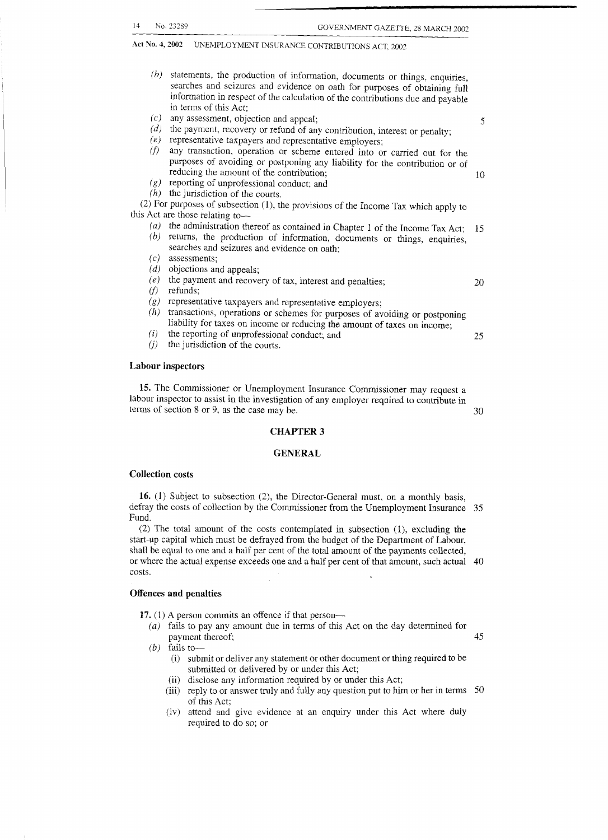| (b)                                                                                 | statements, the production of information, documents or things, enquiries,     |    |
|-------------------------------------------------------------------------------------|--------------------------------------------------------------------------------|----|
|                                                                                     | searches and seizures and evidence on oath for purposes of obtaining full      |    |
|                                                                                     | information in respect of the calculation of the contributions due and payable |    |
|                                                                                     | in terms of this Act:                                                          |    |
| (c)                                                                                 | any assessment, objection and appeal;                                          | 5  |
| (d)                                                                                 | the payment, recovery or refund of any contribution, interest or penalty;      |    |
| (e)                                                                                 | representative taxpayers and representative employers;                         |    |
| (f)                                                                                 | any transaction, operation or scheme entered into or carried out for the       |    |
|                                                                                     | purposes of avoiding or postponing any liability for the contribution or of    |    |
|                                                                                     | reducing the amount of the contribution;                                       | 10 |
| (g)                                                                                 | reporting of unprofessional conduct; and                                       |    |
|                                                                                     | $(h)$ the jurisdiction of the courts.                                          |    |
| (2) For purposes of subsection (1), the provisions of the Income Tax which apply to |                                                                                |    |
|                                                                                     | this Act are those relating to-                                                |    |
| (a)                                                                                 | the administration thereof as contained in Chapter 1 of the Income Tax Act;    | 15 |
| (b)                                                                                 | returns, the production of information, documents or things, enquiries,        |    |
|                                                                                     | searches and seizures and evidence on oath;                                    |    |
| (c)                                                                                 | assessments;                                                                   |    |
| (d)                                                                                 | objections and appeals;                                                        |    |
| (e)                                                                                 | the payment and recovery of tax, interest and penalties;                       | 20 |
| (f)                                                                                 | refunds;                                                                       |    |
| (g)                                                                                 | representative taxpayers and representative employers;                         |    |
| (h)                                                                                 | transactions, operations or schemes for purposes of avoiding or postponing     |    |
|                                                                                     | liability for taxes on income or reducing the amount of taxes on income;       |    |
| (i)                                                                                 | the reporting of unprofessional conduct; and                                   | 25 |
| (j)                                                                                 | the jurisdiction of the courts.                                                |    |
|                                                                                     |                                                                                |    |
| <b>Labour inspectors</b>                                                            |                                                                                |    |
|                                                                                     |                                                                                |    |

**15.** The Commissioner or Unemployment Insurance Commissioner may request a labour inspector to assist in the investigation of any employer required to contribute in terms of section 8 or 9, as the case may be.  $30$ 

#### **CHAPTER 3**

#### **GENERAL**

#### **Collection costs**

**16.** (1) Subject to subsection *(2),* the Director-General must, on a monthly basis, defray the costs of collection by the Commissioner from the Unemployment Insurance 35 Fund.

(2) The total amount of the costs contemplated in subsection (1), excluding the start-up capital which must be defrayed from the budget of the Department of Labour, shall be equal to one and a half per cent of the total amount of the payments collected, or where the actual expense exceeds one and a half per cent of that amount, such actual 40 costs.

#### **Offences and penalties**

- **17.** (1) A person commits an offence if that person-
	- (a) fails to pay any amount due in terms of this Act on the day determined for payment thereof; 45

*(b)* fails to-

- (i) submit or deliver any statement or other document or thing required to be submitted or delivered by or under this Act;
- (ii) disclose any information required by or under this Act;
- (iii) reply to or answer truly and fully any question put to him or her in terms 50 of this Act;
- (iv) attend and give evidence at an enquiry under this Act where duly required to do so; or